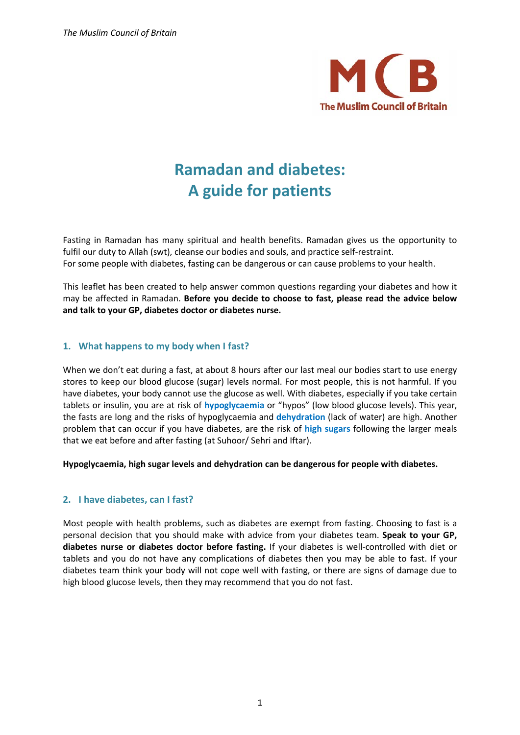

# **Ramadan and diabetes: A guide for patients**

Fasting in Ramadan has many spiritual and health benefits. Ramadan gives us the opportunity to fulfil our duty to Allah (swt), cleanse our bodies and souls, and practice self-restraint. For some people with diabetes, fasting can be dangerous or can cause problems to your health.

This leaflet has been created to help answer common questions regarding your diabetes and how it may be affected in Ramadan. **Before you decide to choose to fast, please read the advice below and talk to your GP, diabetes doctor or diabetes nurse.**

# **1. What happens to my body when I fast?**

When we don't eat during a fast, at about 8 hours after our last meal our bodies start to use energy stores to keep our blood glucose (sugar) levels normal. For most people, this is not harmful. If you have diabetes, your body cannot use the glucose as well. With diabetes, especially if you take certain tablets or insulin, you are at risk of **hypoglycaemia** or "hypos" (low blood glucose levels). This year, the fasts are long and the risks of hypoglycaemia and **dehydration** (lack of water) are high. Another problem that can occur if you have diabetes, are the risk of **high sugars** following the larger meals that we eat before and after fasting (at Suhoor/ Sehri and Iftar).

**Hypoglycaemia, high sugar levels and dehydration can be dangerous for people with diabetes.**

# **2. I have diabetes, can I fast?**

Most people with health problems, such as diabetes are exempt from fasting. Choosing to fast is a personal decision that you should make with advice from your diabetes team. **Speak to your GP, diabetes nurse or diabetes doctor before fasting.** If your diabetes is well-controlled with diet or tablets and you do not have any complications of diabetes then you may be able to fast. If your diabetes team think your body will not cope well with fasting, or there are signs of damage due to high blood glucose levels, then they may recommend that you do not fast.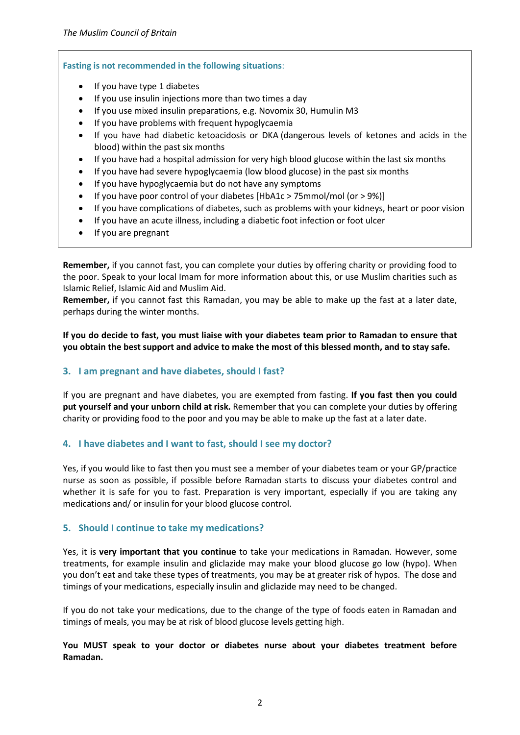#### **Fasting is not recommended in the following situations**:

- If you have type 1 diabetes
- If you use insulin injections more than two times a day
- If you use mixed insulin preparations, e.g. Novomix 30, Humulin M3
- If you have problems with frequent hypoglycaemia
- If you have had diabetic ketoacidosis or DKA (dangerous levels of ketones and acids in the blood) within the past six months
- If you have had a hospital admission for very high blood glucose within the last six months
- If you have had severe hypoglycaemia (low blood glucose) in the past six months
- If you have hypoglycaemia but do not have any symptoms
- If you have poor control of your diabetes [HbA1c > 75mmol/mol (or > 9%)]
- If you have complications of diabetes, such as problems with your kidneys, heart or poor vision
- If you have an acute illness, including a diabetic foot infection or foot ulcer
- If you are pregnant

**Remember,** if you cannot fast, you can complete your duties by offering charity or providing food to the poor. Speak to your local Imam for more information about this, or use Muslim charities such as Islamic Relief, Islamic Aid and Muslim Aid.

**Remember,** if you cannot fast this Ramadan, you may be able to make up the fast at a later date, perhaps during the winter months.

**If you do decide to fast, you must liaise with your diabetes team prior to Ramadan to ensure that you obtain the best support and advice to make the most of this blessed month, and to stay safe.**

# **3. I am pregnant and have diabetes, should I fast?**

If you are pregnant and have diabetes, you are exempted from fasting. **If you fast then you could put yourself and your unborn child at risk.** Remember that you can complete your duties by offering charity or providing food to the poor and you may be able to make up the fast at a later date.

# **4. I have diabetes and I want to fast, should I see my doctor?**

Yes, if you would like to fast then you must see a member of your diabetes team or your GP/practice nurse as soon as possible, if possible before Ramadan starts to discuss your diabetes control and whether it is safe for you to fast. Preparation is very important, especially if you are taking any medications and/ or insulin for your blood glucose control.

# **5. Should I continue to take my medications?**

Yes, it is **very important that you continue** to take your medications in Ramadan. However, some treatments, for example insulin and gliclazide may make your blood glucose go low (hypo). When you don't eat and take these types of treatments, you may be at greater risk of hypos. The dose and timings of your medications, especially insulin and gliclazide may need to be changed.

If you do not take your medications, due to the change of the type of foods eaten in Ramadan and timings of meals, you may be at risk of blood glucose levels getting high.

# **You MUST speak to your doctor or diabetes nurse about your diabetes treatment before Ramadan.**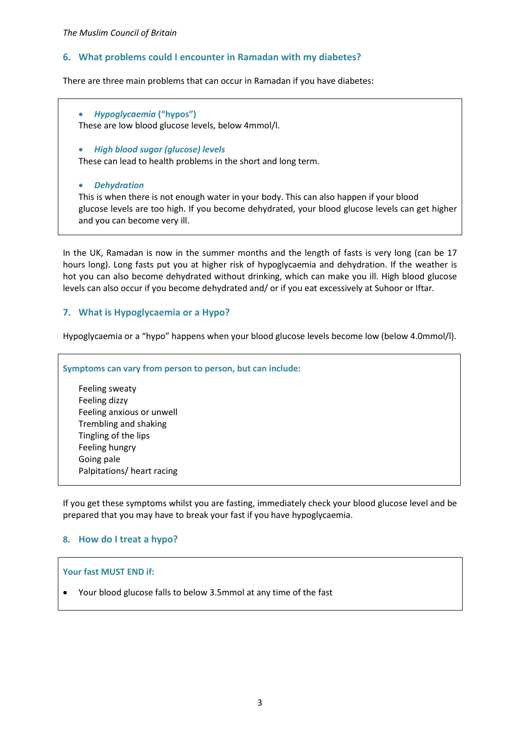# **6. What problems could I encounter in Ramadan with my diabetes?**

There are three main problems that can occur in Ramadan if you have diabetes:

• *Hypoglycaemia* **("hypos")** These are low blood glucose levels, below 4mmol/l.

• *High blood sugar (glucose) levels*

These can lead to health problems in the short and long term.

• *Dehydration*

This is when there is not enough water in your body. This can also happen if your blood glucose levels are too high. If you become dehydrated, your blood glucose levels can get higher and you can become very ill.

In the UK, Ramadan is now in the summer months and the length of fasts is very long (can be 17 hours long). Long fasts put you at higher risk of hypoglycaemia and dehydration. If the weather is hot you can also become dehydrated without drinking, which can make you ill. High blood glucose levels can also occur if you become dehydrated and/ or if you eat excessively at Suhoor or Iftar.

# **7. What is Hypoglycaemia or a Hypo?**

Hypoglycaemia or a "hypo" happens when your blood glucose levels become low (below 4.0mmol/l).

**Symptoms can vary from person to person, but can include:**

Feeling sweaty Feeling dizzy Feeling anxious or unwell Trembling and shaking Tingling of the lips Feeling hungry Going pale Palpitations/ heart racing

If you get these symptoms whilst you are fasting, immediately check your blood glucose level and be prepared that you may have to break your fast if you have hypoglycaemia.

# **8. How do I treat a hypo?**

#### **Your fast MUST END if:**

• Your blood glucose falls to below 3.5mmol at any time of the fast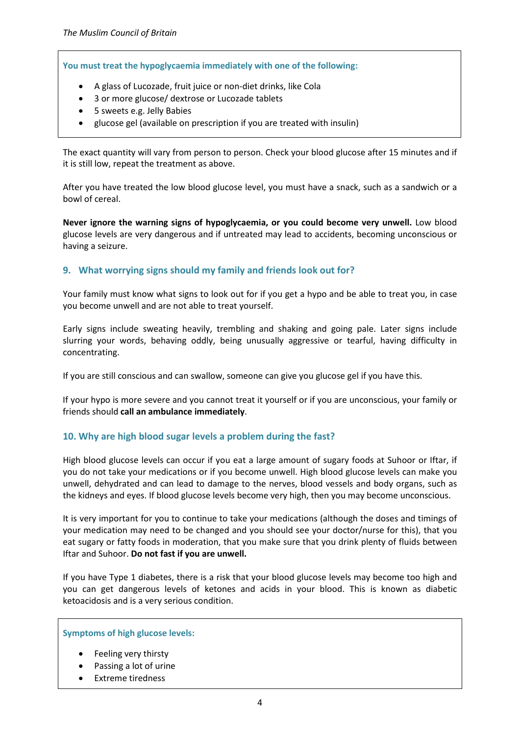**You must treat the hypoglycaemia immediately with one of the following:**

- A glass of Lucozade, fruit juice or non-diet drinks, like Cola
- 3 or more glucose/ dextrose or Lucozade tablets
- 5 sweets e.g. Jelly Babies
- glucose gel (available on prescription if you are treated with insulin)

The exact quantity will vary from person to person. Check your blood glucose after 15 minutes and if it is still low, repeat the treatment as above.

After you have treated the low blood glucose level, you must have a snack, such as a sandwich or a bowl of cereal.

**Never ignore the warning signs of hypoglycaemia, or you could become very unwell.** Low blood glucose levels are very dangerous and if untreated may lead to accidents, becoming unconscious or having a seizure.

# **9. What worrying signs should my family and friends look out for?**

Your family must know what signs to look out for if you get a hypo and be able to treat you, in case you become unwell and are not able to treat yourself.

Early signs include sweating heavily, trembling and shaking and going pale. Later signs include slurring your words, behaving oddly, being unusually aggressive or tearful, having difficulty in concentrating.

If you are still conscious and can swallow, someone can give you glucose gel if you have this.

If your hypo is more severe and you cannot treat it yourself or if you are unconscious, your family or friends should **call an ambulance immediately**.

# **10. Why are high blood sugar levels a problem during the fast?**

High blood glucose levels can occur if you eat a large amount of sugary foods at Suhoor or Iftar, if you do not take your medications or if you become unwell. High blood glucose levels can make you unwell, dehydrated and can lead to damage to the nerves, blood vessels and body organs, such as the kidneys and eyes. If blood glucose levels become very high, then you may become unconscious.

It is very important for you to continue to take your medications (although the doses and timings of your medication may need to be changed and you should see your doctor/nurse for this), that you eat sugary or fatty foods in moderation, that you make sure that you drink plenty of fluids between Iftar and Suhoor. **Do not fast if you are unwell.**

If you have Type 1 diabetes, there is a risk that your blood glucose levels may become too high and you can get dangerous levels of ketones and acids in your blood. This is known as diabetic ketoacidosis and is a very serious condition.

**Symptoms of high glucose levels:**

- Feeling very thirsty
- Passing a lot of urine
- Extreme tiredness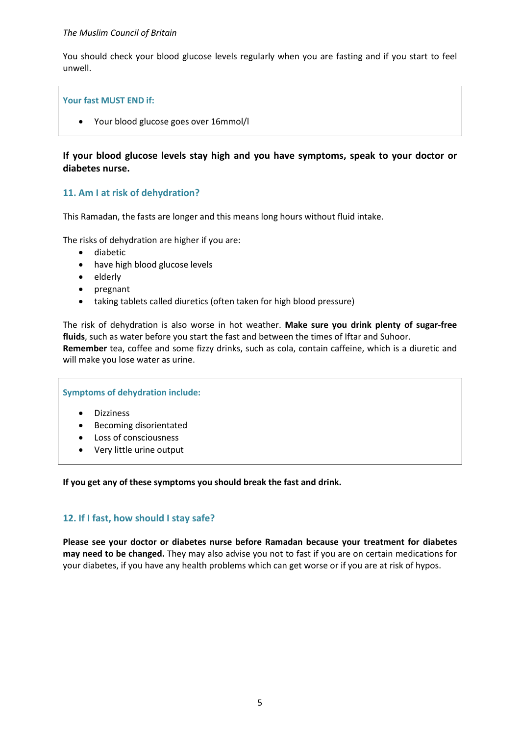#### *The Muslim Council of Britain*

You should check your blood glucose levels regularly when you are fasting and if you start to feel unwell.

#### **Your fast MUST END if:**

• Your blood glucose goes over 16mmol/l

# **If your blood glucose levels stay high and you have symptoms, speak to your doctor or diabetes nurse.**

# **11. Am I at risk of dehydration?**

This Ramadan, the fasts are longer and this means long hours without fluid intake.

The risks of dehydration are higher if you are:

- diabetic
- have high blood glucose levels
- elderly
- pregnant
- taking tablets called diuretics (often taken for high blood pressure)

The risk of dehydration is also worse in hot weather. **Make sure you drink plenty of sugar-free fluids**, such as water before you start the fast and between the times of Iftar and Suhoor. **Remember** tea, coffee and some fizzy drinks, such as cola, contain caffeine, which is a diuretic and will make you lose water as urine.

#### **Symptoms of dehydration include:**

- Dizziness
- Becoming disorientated
- Loss of consciousness
- Very little urine output

**If you get any of these symptoms you should break the fast and drink.**

# **12. If I fast, how should I stay safe?**

**Please see your doctor or diabetes nurse before Ramadan because your treatment for diabetes may need to be changed.** They may also advise you not to fast if you are on certain medications for your diabetes, if you have any health problems which can get worse or if you are at risk of hypos.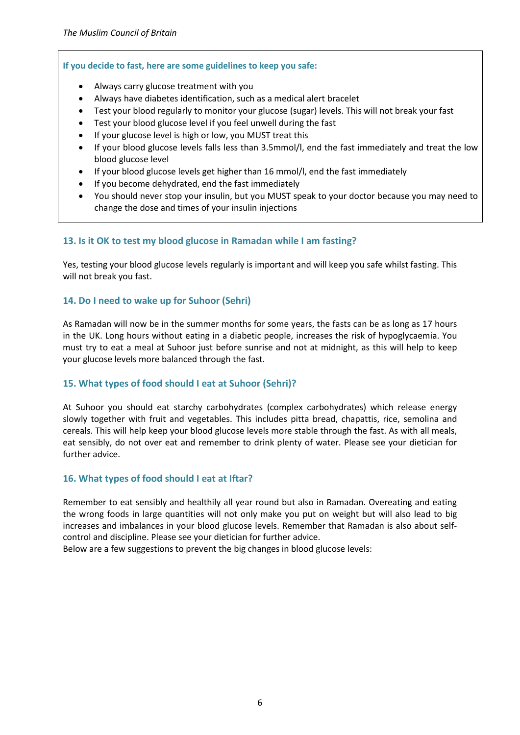#### **If you decide to fast, here are some guidelines to keep you safe:**

- Always carry glucose treatment with you
- Always have diabetes identification, such as a medical alert bracelet
- Test your blood regularly to monitor your glucose (sugar) levels. This will not break your fast
- Test your blood glucose level if you feel unwell during the fast
- If your glucose level is high or low, you MUST treat this
- If your blood glucose levels falls less than 3.5mmol/l, end the fast immediately and treat the low blood glucose level
- If your blood glucose levels get higher than 16 mmol/l, end the fast immediately
- If you become dehydrated, end the fast immediately
- You should never stop your insulin, but you MUST speak to your doctor because you may need to change the dose and times of your insulin injections

# **13. Is it OK to test my blood glucose in Ramadan while I am fasting?**

Yes, testing your blood glucose levels regularly is important and will keep you safe whilst fasting. This will not break you fast.

# **14. Do I need to wake up for Suhoor (Sehri)**

As Ramadan will now be in the summer months for some years, the fasts can be as long as 17 hours in the UK. Long hours without eating in a diabetic people, increases the risk of hypoglycaemia. You must try to eat a meal at Suhoor just before sunrise and not at midnight, as this will help to keep your glucose levels more balanced through the fast.

# **15. What types of food should I eat at Suhoor (Sehri)?**

At Suhoor you should eat starchy carbohydrates (complex carbohydrates) which release energy slowly together with fruit and vegetables. This includes pitta bread, chapattis, rice, semolina and cereals. This will help keep your blood glucose levels more stable through the fast. As with all meals, eat sensibly, do not over eat and remember to drink plenty of water. Please see your dietician for further advice.

#### **16. What types of food should I eat at Iftar?**

Remember to eat sensibly and healthily all year round but also in Ramadan. Overeating and eating the wrong foods in large quantities will not only make you put on weight but will also lead to big increases and imbalances in your blood glucose levels. Remember that Ramadan is also about selfcontrol and discipline. Please see your dietician for further advice.

Below are a few suggestions to prevent the big changes in blood glucose levels: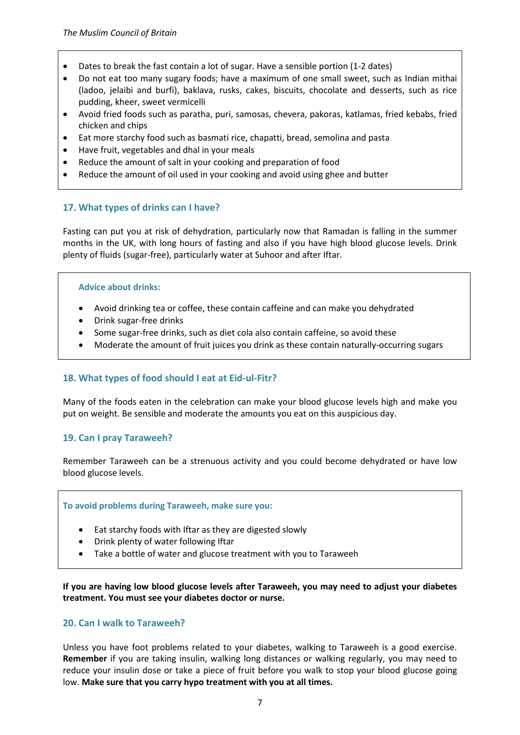- Dates to break the fast contain a lot of sugar. Have a sensible portion (1-2 dates)
- Do not eat too many sugary foods; have a maximum of one small sweet, such as Indian mithai (ladoo, jelaibi and burfi), baklava, rusks, cakes, biscuits, chocolate and desserts, such as rice pudding, kheer, sweet vermicelli
- Avoid fried foods such as paratha, puri, samosas, chevera, pakoras, katlamas, fried kebabs, fried chicken and chips
- Eat more starchy food such as basmati rice, chapatti, bread, semolina and pasta
- Have fruit, vegetables and dhal in your meals
- Reduce the amount of salt in your cooking and preparation of food
- Reduce the amount of oil used in your cooking and avoid using ghee and butter

# **17. What types of drinks can I have?**

Fasting can put you at risk of dehydration, particularly now that Ramadan is falling in the summer months in the UK, with long hours of fasting and also if you have high blood glucose levels. Drink plenty of fluids (sugar-free), particularly water at Suhoor and after Iftar.

#### **Advice about drinks:**

- Avoid drinking tea or coffee, these contain caffeine and can make you dehydrated
- Drink sugar-free drinks
- Some sugar-free drinks, such as diet cola also contain caffeine, so avoid these
- Moderate the amount of fruit juices you drink as these contain naturally-occurring sugars

# **18. What types of food should I eat at Eid-ul-Fitr?**

Many of the foods eaten in the celebration can make your blood glucose levels high and make you put on weight. Be sensible and moderate the amounts you eat on this auspicious day.

# **19. Can I pray Taraweeh?**

Remember Taraweeh can be a strenuous activity and you could become dehydrated or have low blood glucose levels.

#### **To avoid problems during Taraweeh, make sure you:**

- Eat starchy foods with Iftar as they are digested slowly
- Drink plenty of water following Iftar
- Take a bottle of water and glucose treatment with you to Taraweeh

**If you are having low blood glucose levels after Taraweeh, you may need to adjust your diabetes treatment. You must see your diabetes doctor or nurse.**

#### **20. Can I walk to Taraweeh?**

Unless you have foot problems related to your diabetes, walking to Taraweeh is a good exercise. **Remember** if you are taking insulin, walking long distances or walking regularly, you may need to reduce your insulin dose or take a piece of fruit before you walk to stop your blood glucose going low. **Make sure that you carry hypo treatment with you at all times.**